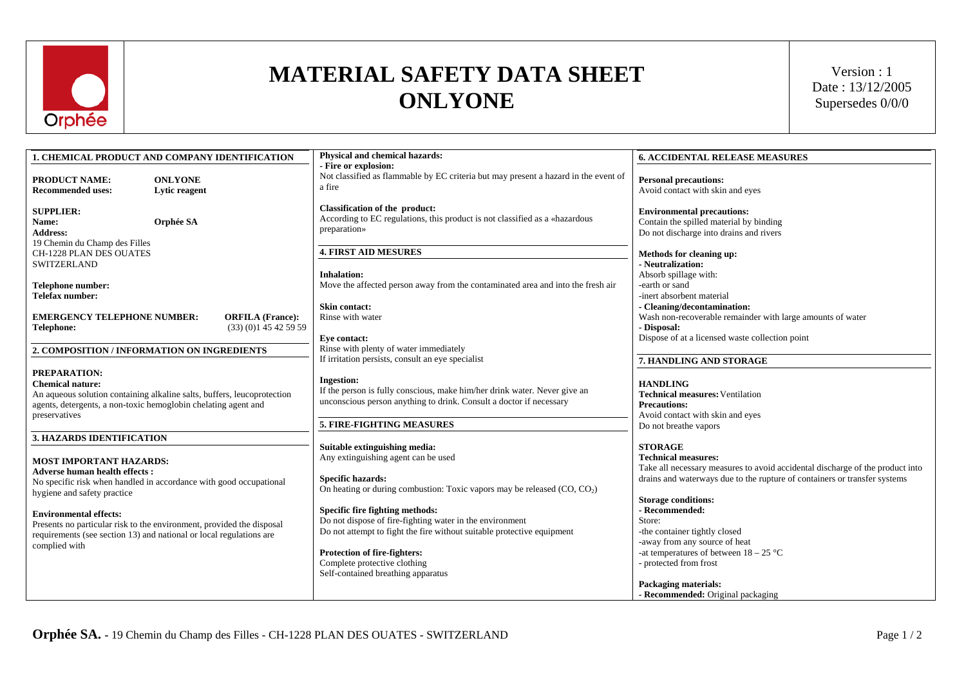

## **MATERIAL SAFETY DATA SHEET ONLYONE**

Version : 1 Date : 13/12/2005 Supersedes 0/0/0

| <b>1. CHEMICAL PRODUCT AND COMPANY IDENTIFICATION</b>                                                                                                                                                 | Physical and chemical hazards:                                                                                                                                        | <b>6. ACCIDENTAL RELEASE MEASURES</b>                                                                                                                                                    |
|-------------------------------------------------------------------------------------------------------------------------------------------------------------------------------------------------------|-----------------------------------------------------------------------------------------------------------------------------------------------------------------------|------------------------------------------------------------------------------------------------------------------------------------------------------------------------------------------|
| <b>PRODUCT NAME:</b><br><b>ONLYONE</b><br><b>Recommended uses:</b><br>Lytic reagent                                                                                                                   | - Fire or explosion:<br>Not classified as flammable by EC criteria but may present a hazard in the event of<br>a fire                                                 | <b>Personal precautions:</b><br>Avoid contact with skin and eyes                                                                                                                         |
| <b>SUPPLIER:</b><br>Orphée SA<br>Name:<br><b>Address:</b><br>19 Chemin du Champ des Filles                                                                                                            | <b>Classification of the product:</b><br>According to EC regulations, this product is not classified as a «hazardous<br>preparation»                                  | <b>Environmental precautions:</b><br>Contain the spilled material by binding<br>Do not discharge into drains and rivers                                                                  |
| CH-1228 PLAN DES OUATES<br><b>SWITZERLAND</b>                                                                                                                                                         | <b>4. FIRST AID MESURES</b><br><b>Inhalation:</b>                                                                                                                     | Methods for cleaning up:<br>- Neutralization:<br>Absorb spillage with:                                                                                                                   |
| <b>Telephone number:</b><br>Telefax number:                                                                                                                                                           | Move the affected person away from the contaminated area and into the fresh air                                                                                       | -earth or sand<br>-inert absorbent material                                                                                                                                              |
| <b>EMERGENCY TELEPHONE NUMBER:</b><br><b>ORFILA</b> (France):<br>(33)(0)145425959<br>Telephone:                                                                                                       | Skin contact:<br>Rinse with water                                                                                                                                     | - Cleaning/decontamination:<br>Wash non-recoverable remainder with large amounts of water<br>- Disposal:                                                                                 |
| 2. COMPOSITION / INFORMATION ON INGREDIENTS                                                                                                                                                           | Eye contact:<br>Rinse with plenty of water immediately<br>If irritation persists, consult an eye specialist                                                           | Dispose of at a licensed waste collection point<br>7. HANDLING AND STORAGE                                                                                                               |
| PREPARATION:<br><b>Chemical nature:</b><br>An aqueous solution containing alkaline salts, buffers, leucoprotection<br>agents, detergents, a non-toxic hemoglobin chelating agent and<br>preservatives | <b>Ingestion:</b><br>If the person is fully conscious, make him/her drink water. Never give an<br>unconscious person anything to drink. Consult a doctor if necessary | <b>HANDLING</b><br><b>Technical measures: Ventilation</b><br><b>Precautions:</b><br>Avoid contact with skin and eyes                                                                     |
|                                                                                                                                                                                                       | 5. FIRE-FIGHTING MEASURES                                                                                                                                             | Do not breathe vapors                                                                                                                                                                    |
| <b>3. HAZARDS IDENTIFICATION</b><br><b>MOST IMPORTANT HAZARDS:</b>                                                                                                                                    | Suitable extinguishing media:<br>Any extinguishing agent can be used                                                                                                  | <b>STORAGE</b><br><b>Technical measures:</b>                                                                                                                                             |
| <b>Adverse human health effects:</b><br>No specific risk when handled in accordance with good occupational<br>hygiene and safety practice                                                             | <b>Specific hazards:</b><br>On heating or during combustion: Toxic vapors may be released $(CO, CO2)$                                                                 | Take all necessary measures to avoid accidental discharge of the product into<br>drains and waterways due to the rupture of containers or transfer systems<br><b>Storage conditions:</b> |
| <b>Environmental effects:</b><br>Presents no particular risk to the environment, provided the disposal<br>requirements (see section 13) and national or local regulations are<br>complied with        | Specific fire fighting methods:<br>Do not dispose of fire-fighting water in the environment<br>Do not attempt to fight the fire without suitable protective equipment | - Recommended:<br>Store:<br>-the container tightly closed<br>-away from any source of heat                                                                                               |
|                                                                                                                                                                                                       | Protection of fire-fighters:<br>Complete protective clothing<br>Self-contained breathing apparatus                                                                    | -at temperatures of between $18 - 25$ °C<br>- protected from frost<br><b>Packaging materials:</b><br>- Recommended: Original packaging                                                   |